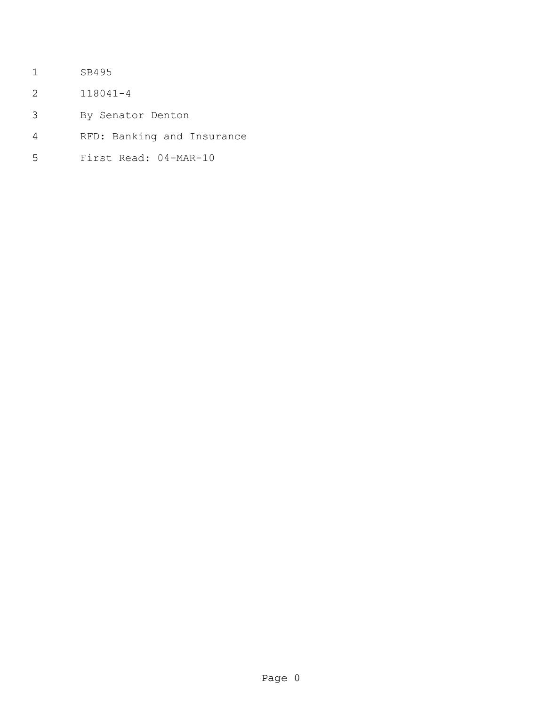- SB495
- 118041-4
- By Senator Denton
- RFD: Banking and Insurance
- First Read: 04-MAR-10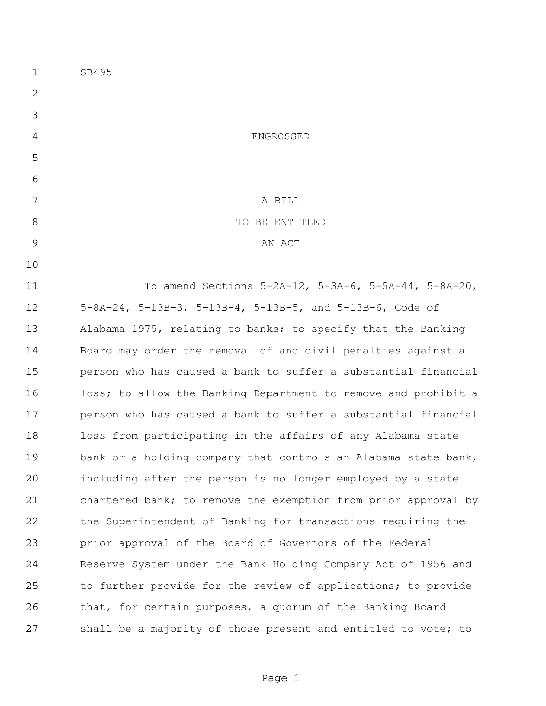SB495 ENGROSSED 7 A BILL 8 STRIP TO BE ENTITLED 9 AN ACT To amend Sections 5-2A-12, 5-3A-6, 5-5A-44, 5-8A-20, 5-8A-24, 5-13B-3, 5-13B-4, 5-13B-5, and 5-13B-6, Code of Alabama 1975, relating to banks; to specify that the Banking Board may order the removal of and civil penalties against a person who has caused a bank to suffer a substantial financial loss; to allow the Banking Department to remove and prohibit a person who has caused a bank to suffer a substantial financial loss from participating in the affairs of any Alabama state bank or a holding company that controls an Alabama state bank, including after the person is no longer employed by a state chartered bank; to remove the exemption from prior approval by the Superintendent of Banking for transactions requiring the prior approval of the Board of Governors of the Federal Reserve System under the Bank Holding Company Act of 1956 and to further provide for the review of applications; to provide that, for certain purposes, a quorum of the Banking Board shall be a majority of those present and entitled to vote; to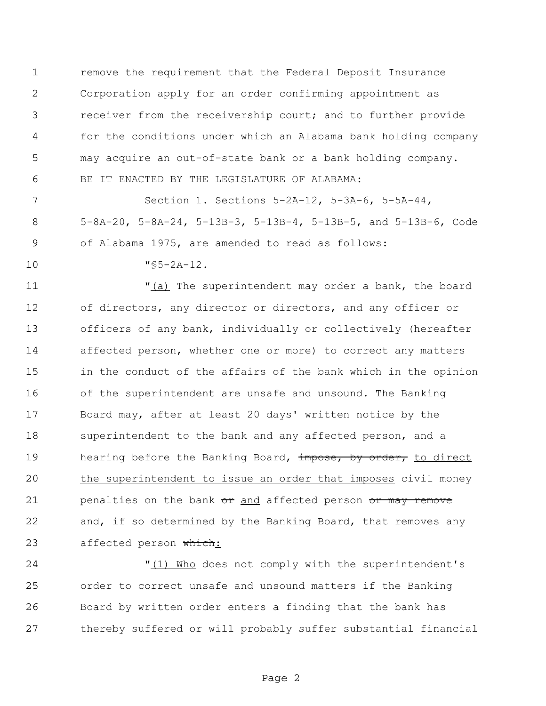remove the requirement that the Federal Deposit Insurance Corporation apply for an order confirming appointment as receiver from the receivership court; and to further provide for the conditions under which an Alabama bank holding company may acquire an out-of-state bank or a bank holding company. BE IT ENACTED BY THE LEGISLATURE OF ALABAMA:

 Section 1. Sections 5-2A-12, 5-3A-6, 5-5A-44, 5-8A-20, 5-8A-24, 5-13B-3, 5-13B-4, 5-13B-5, and 5-13B-6, Code of Alabama 1975, are amended to read as follows:

"§5-2A-12.

11 The superintendent may order a bank, the board of directors, any director or directors, and any officer or officers of any bank, individually or collectively (hereafter affected person, whether one or more) to correct any matters in the conduct of the affairs of the bank which in the opinion of the superintendent are unsafe and unsound. The Banking Board may, after at least 20 days' written notice by the superintendent to the bank and any affected person, and a 19 hearing before the Banking Board, impose, by order, to direct 20 the superintendent to issue an order that imposes civil money 21 penalties on the bank or and affected person or may remove and, if so determined by the Banking Board, that removes any 23 affected person which:

24 "(1) Who does not comply with the superintendent's order to correct unsafe and unsound matters if the Banking Board by written order enters a finding that the bank has thereby suffered or will probably suffer substantial financial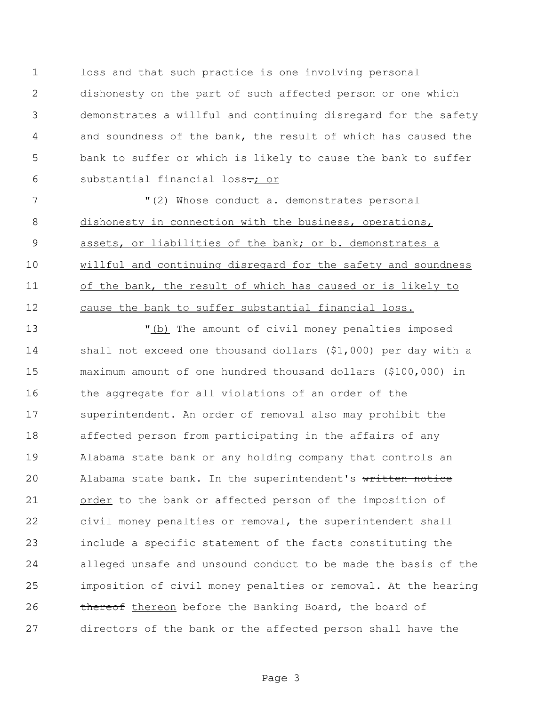loss and that such practice is one involving personal dishonesty on the part of such affected person or one which demonstrates a willful and continuing disregard for the safety and soundness of the bank, the result of which has caused the bank to suffer or which is likely to cause the bank to suffer 6 substantial financial loss<del>.</del>; or

7 The V<sub>(2)</sub> Whose conduct a. demonstrates personal dishonesty in connection with the business, operations, assets, or liabilities of the bank; or b. demonstrates a 10 willful and continuing disregard for the safety and soundness of the bank, the result of which has caused or is likely to cause the bank to suffer substantial financial loss.

 "(b) The amount of civil money penalties imposed shall not exceed one thousand dollars (\$1,000) per day with a maximum amount of one hundred thousand dollars (\$100,000) in the aggregate for all violations of an order of the superintendent. An order of removal also may prohibit the affected person from participating in the affairs of any Alabama state bank or any holding company that controls an 20 Alabama state bank. In the superintendent's written notice 21 order to the bank or affected person of the imposition of civil money penalties or removal, the superintendent shall include a specific statement of the facts constituting the alleged unsafe and unsound conduct to be made the basis of the imposition of civil money penalties or removal. At the hearing 26 thereof thereon before the Banking Board, the board of directors of the bank or the affected person shall have the

Page 3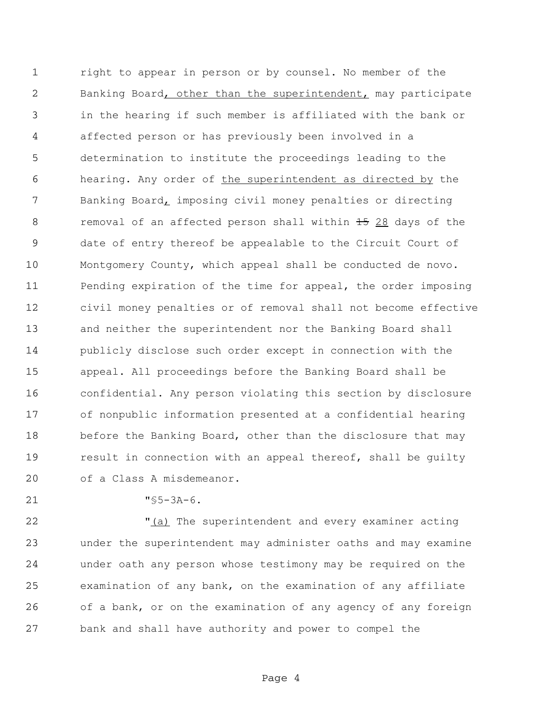right to appear in person or by counsel. No member of the Banking Board, other than the superintendent, may participate in the hearing if such member is affiliated with the bank or affected person or has previously been involved in a determination to institute the proceedings leading to the hearing. Any order of the superintendent as directed by the Banking Board, imposing civil money penalties or directing 8 removal of an affected person shall within 28 days of the date of entry thereof be appealable to the Circuit Court of Montgomery County, which appeal shall be conducted de novo. Pending expiration of the time for appeal, the order imposing civil money penalties or of removal shall not become effective and neither the superintendent nor the Banking Board shall publicly disclose such order except in connection with the appeal. All proceedings before the Banking Board shall be confidential. Any person violating this section by disclosure of nonpublic information presented at a confidential hearing 18 before the Banking Board, other than the disclosure that may 19 result in connection with an appeal thereof, shall be guilty of a Class A misdemeanor.

"§5-3A-6.

22 The superintendent and every examiner acting under the superintendent may administer oaths and may examine under oath any person whose testimony may be required on the examination of any bank, on the examination of any affiliate of a bank, or on the examination of any agency of any foreign bank and shall have authority and power to compel the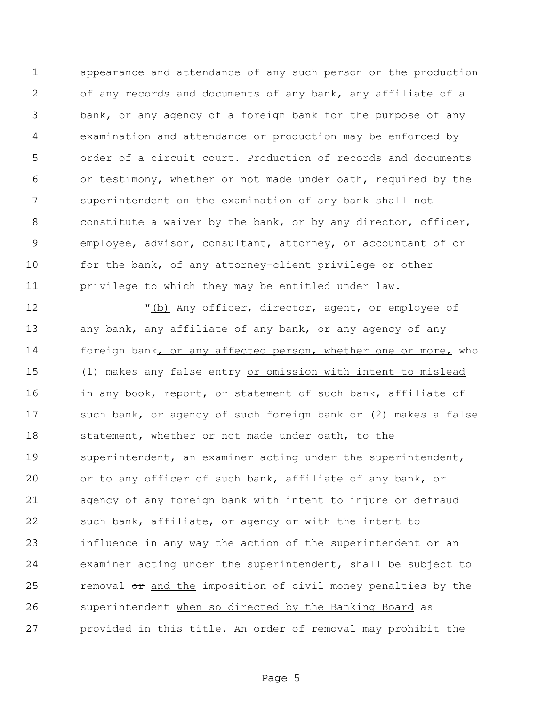appearance and attendance of any such person or the production of any records and documents of any bank, any affiliate of a bank, or any agency of a foreign bank for the purpose of any examination and attendance or production may be enforced by order of a circuit court. Production of records and documents or testimony, whether or not made under oath, required by the superintendent on the examination of any bank shall not 8 constitute a waiver by the bank, or by any director, officer, employee, advisor, consultant, attorney, or accountant of or 10 for the bank, of any attorney-client privilege or other privilege to which they may be entitled under law.

12 The M<sub>(b)</sub> Any officer, director, agent, or employee of 13 any bank, any affiliate of any bank, or any agency of any foreign bank, or any affected person, whether one or more, who (1) makes any false entry or omission with intent to mislead in any book, report, or statement of such bank, affiliate of such bank, or agency of such foreign bank or (2) makes a false statement, whether or not made under oath, to the 19 superintendent, an examiner acting under the superintendent, or to any officer of such bank, affiliate of any bank, or agency of any foreign bank with intent to injure or defraud 22 such bank, affiliate, or agency or with the intent to influence in any way the action of the superintendent or an examiner acting under the superintendent, shall be subject to 25 removal or and the imposition of civil money penalties by the superintendent when so directed by the Banking Board as provided in this title. An order of removal may prohibit the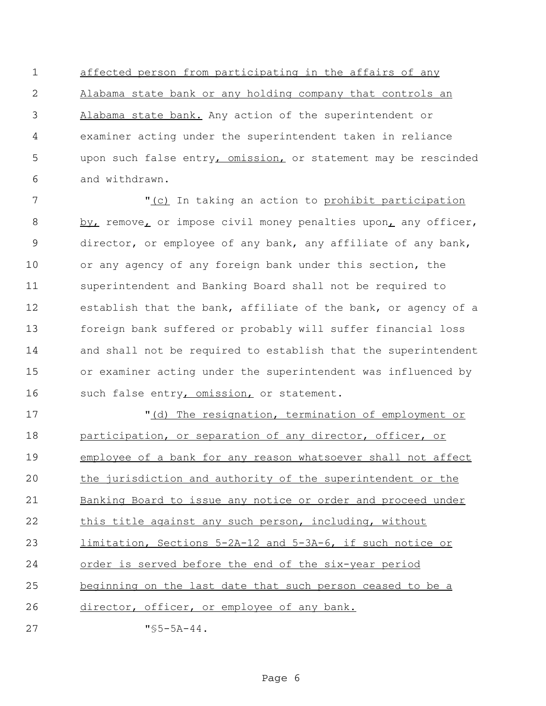affected person from participating in the affairs of any Alabama state bank or any holding company that controls an Alabama state bank. Any action of the superintendent or examiner acting under the superintendent taken in reliance upon such false entry, omission, or statement may be rescinded and withdrawn.

7 The T<sub>1</sub> (c) In taking an action to prohibit participation 8 by, remove, or impose civil money penalties upon, any officer, director, or employee of any bank, any affiliate of any bank, or any agency of any foreign bank under this section, the superintendent and Banking Board shall not be required to establish that the bank, affiliate of the bank, or agency of a foreign bank suffered or probably will suffer financial loss and shall not be required to establish that the superintendent or examiner acting under the superintendent was influenced by 16 such false entry, omission, or statement.

 "(d) The resignation, termination of employment or participation, or separation of any director, officer, or employee of a bank for any reason whatsoever shall not affect the jurisdiction and authority of the superintendent or the 21 Banking Board to issue any notice or order and proceed under this title against any such person, including, without limitation, Sections 5-2A-12 and 5-3A-6, if such notice or order is served before the end of the six-year period beginning on the last date that such person ceased to be a director, officer, or employee of any bank. "§5-5A-44.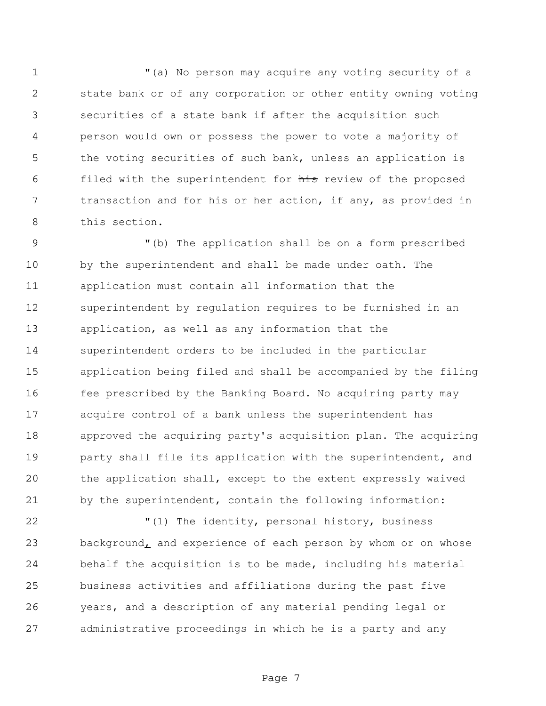"(a) No person may acquire any voting security of a state bank or of any corporation or other entity owning voting securities of a state bank if after the acquisition such person would own or possess the power to vote a majority of the voting securities of such bank, unless an application is 6 filed with the superintendent for his review of the proposed 7 transaction and for his or her action, if any, as provided in this section.

 "(b) The application shall be on a form prescribed by the superintendent and shall be made under oath. The application must contain all information that the superintendent by regulation requires to be furnished in an application, as well as any information that the superintendent orders to be included in the particular application being filed and shall be accompanied by the filing fee prescribed by the Banking Board. No acquiring party may acquire control of a bank unless the superintendent has approved the acquiring party's acquisition plan. The acquiring **party shall file its application with the superintendent, and**  the application shall, except to the extent expressly waived by the superintendent, contain the following information:

22 The identity, personal history, business 23 background, and experience of each person by whom or on whose behalf the acquisition is to be made, including his material business activities and affiliations during the past five years, and a description of any material pending legal or administrative proceedings in which he is a party and any

Page 7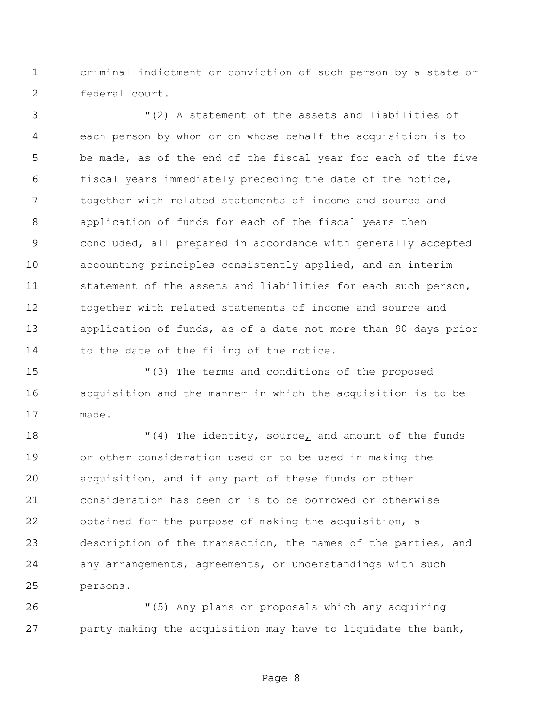criminal indictment or conviction of such person by a state or federal court.

 "(2) A statement of the assets and liabilities of each person by whom or on whose behalf the acquisition is to be made, as of the end of the fiscal year for each of the five fiscal years immediately preceding the date of the notice, together with related statements of income and source and application of funds for each of the fiscal years then concluded, all prepared in accordance with generally accepted accounting principles consistently applied, and an interim statement of the assets and liabilities for each such person, together with related statements of income and source and application of funds, as of a date not more than 90 days prior 14 to the date of the filing of the notice.

 "(3) The terms and conditions of the proposed acquisition and the manner in which the acquisition is to be made.

 $(4)$  The identity, source, and amount of the funds or other consideration used or to be used in making the acquisition, and if any part of these funds or other consideration has been or is to be borrowed or otherwise obtained for the purpose of making the acquisition, a description of the transaction, the names of the parties, and any arrangements, agreements, or understandings with such persons.

 "(5) Any plans or proposals which any acquiring party making the acquisition may have to liquidate the bank,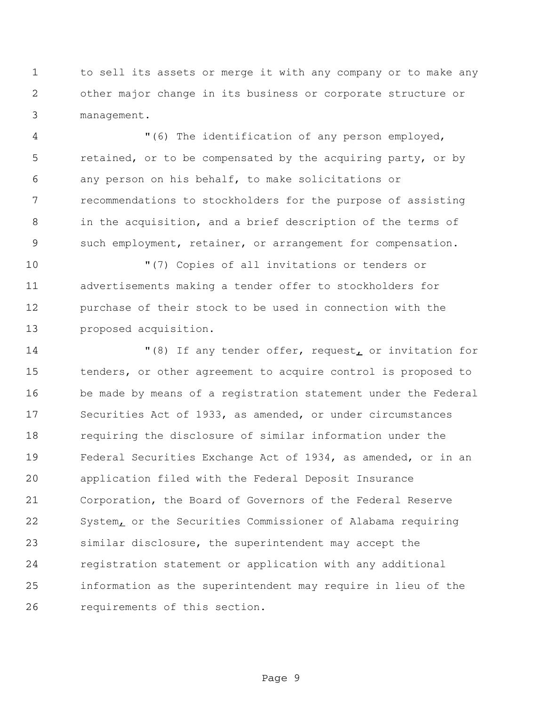to sell its assets or merge it with any company or to make any other major change in its business or corporate structure or management.

 "(6) The identification of any person employed, 5 retained, or to be compensated by the acquiring party, or by any person on his behalf, to make solicitations or recommendations to stockholders for the purpose of assisting in the acquisition, and a brief description of the terms of such employment, retainer, or arrangement for compensation.

 "(7) Copies of all invitations or tenders or advertisements making a tender offer to stockholders for purchase of their stock to be used in connection with the proposed acquisition.

 "(8) If any tender offer, request, or invitation for tenders, or other agreement to acquire control is proposed to be made by means of a registration statement under the Federal Securities Act of 1933, as amended, or under circumstances requiring the disclosure of similar information under the Federal Securities Exchange Act of 1934, as amended, or in an application filed with the Federal Deposit Insurance Corporation, the Board of Governors of the Federal Reserve 22 System<sub>L</sub> or the Securities Commissioner of Alabama requiring similar disclosure, the superintendent may accept the registration statement or application with any additional information as the superintendent may require in lieu of the requirements of this section.

Page 9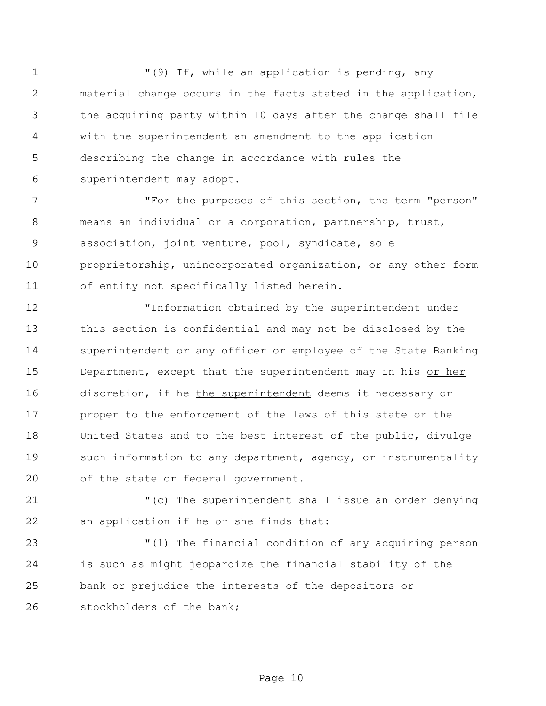1 The M(9) If, while an application is pending, any material change occurs in the facts stated in the application, the acquiring party within 10 days after the change shall file with the superintendent an amendment to the application describing the change in accordance with rules the superintendent may adopt.

 "For the purposes of this section, the term "person" means an individual or a corporation, partnership, trust, association, joint venture, pool, syndicate, sole proprietorship, unincorporated organization, or any other form of entity not specifically listed herein.

 "Information obtained by the superintendent under this section is confidential and may not be disclosed by the superintendent or any officer or employee of the State Banking 15 Department, except that the superintendent may in his or her 16 discretion, if the the superintendent deems it necessary or proper to the enforcement of the laws of this state or the United States and to the best interest of the public, divulge 19 such information to any department, agency, or instrumentality of the state or federal government.

 "(c) The superintendent shall issue an order denying 22 an application if he or she finds that:

 "(1) The financial condition of any acquiring person is such as might jeopardize the financial stability of the bank or prejudice the interests of the depositors or stockholders of the bank;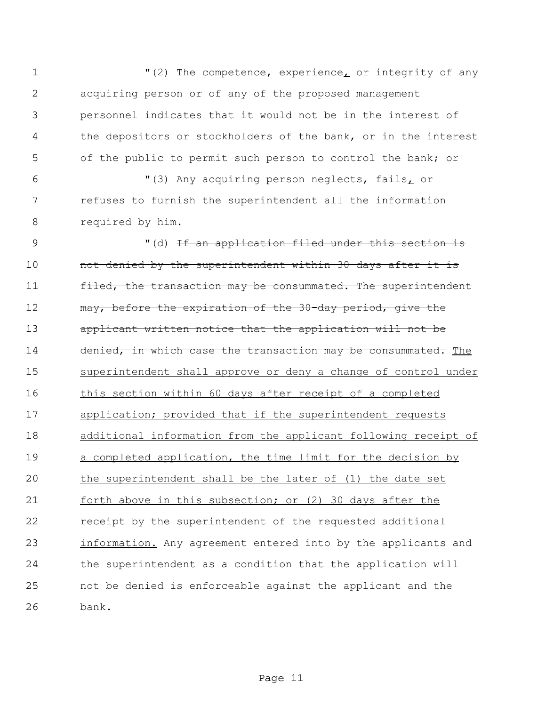1 "(2) The competence, experience<sub>L</sub> or integrity of any acquiring person or of any of the proposed management personnel indicates that it would not be in the interest of the depositors or stockholders of the bank, or in the interest of the public to permit such person to control the bank; or "(3) Any acquiring person neglects, fails, or refuses to furnish the superintendent all the information required by him. 9 (d) If an application filed under this section is 10 mot denied by the superintendent within 30 days after it is 11 filed, the transaction may be consummated. The superintendent 12 may, before the expiration of the 30-day period, give the applicant written notice that the application will not be 14 denied, in which case the transaction may be consummated. The 15 superintendent shall approve or deny a change of control under this section within 60 days after receipt of a completed application; provided that if the superintendent requests additional information from the applicant following receipt of a completed application, the time limit for the decision by the superintendent shall be the later of (1) the date set 21 forth above in this subsection; or (2) 30 days after the receipt by the superintendent of the requested additional 23 information. Any agreement entered into by the applicants and the superintendent as a condition that the application will not be denied is enforceable against the applicant and the bank.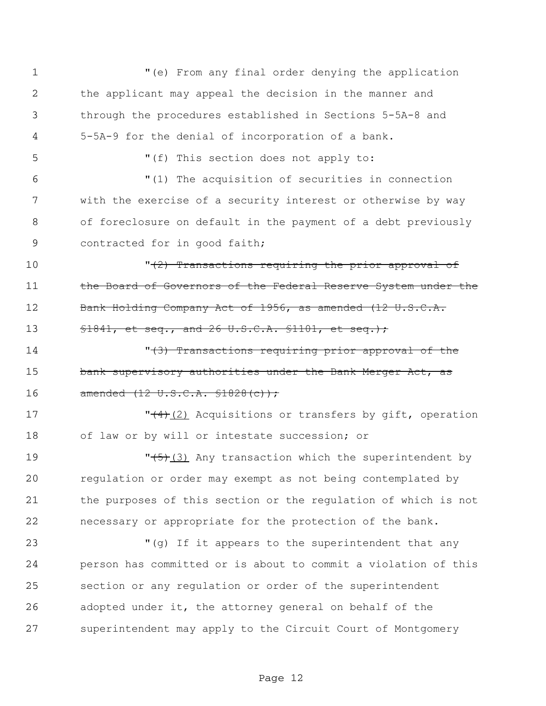"(e) From any final order denying the application the applicant may appeal the decision in the manner and through the procedures established in Sections 5-5A-8 and 5-5A-9 for the denial of incorporation of a bank. "(f) This section does not apply to: "(1) The acquisition of securities in connection with the exercise of a security interest or otherwise by way of foreclosure on default in the payment of a debt previously 9 contracted for in good faith;  $\sqrt{(2)}$  Transactions requiring the prior approval of 11 the Board of Governors of the Federal Reserve System under the 12 Bank Holding Company Act of 1956, as amended (12 U.S.C.A. **§1841, et seq., and 26 U.S.C.A. §1101, et seq.);** 14 The Matheman Transactions requiring prior approval of the 15 bank supervisory authorities under the Bank Merger Act, as 16 amended (12 U.S.C.A. \$1828(c)); 17 The T<sub>1</sub>(2) Acquisitions or transfers by gift, operation of law or by will or intestate succession; or 19 The 19 November 19 19 The Superintendent by regulation or order may exempt as not being contemplated by the purposes of this section or the regulation of which is not necessary or appropriate for the protection of the bank. "(g) If it appears to the superintendent that any person has committed or is about to commit a violation of this section or any regulation or order of the superintendent adopted under it, the attorney general on behalf of the superintendent may apply to the Circuit Court of Montgomery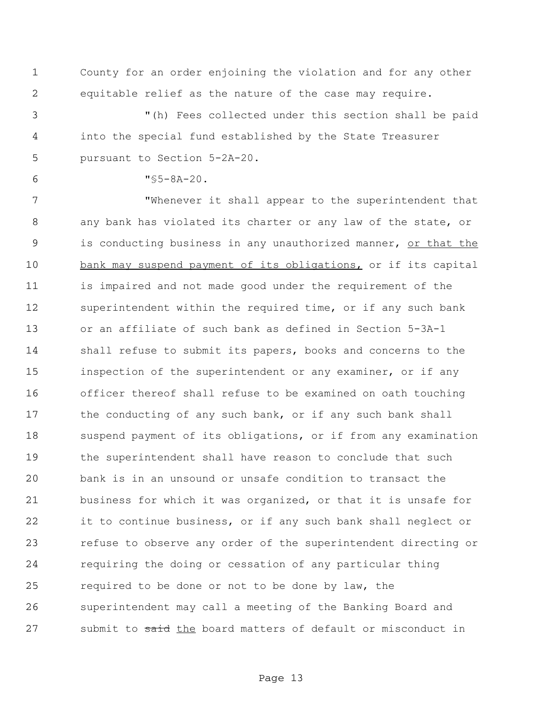County for an order enjoining the violation and for any other equitable relief as the nature of the case may require.

 "(h) Fees collected under this section shall be paid into the special fund established by the State Treasurer pursuant to Section 5-2A-20.

"§5-8A-20.

 "Whenever it shall appear to the superintendent that any bank has violated its charter or any law of the state, or 9 is conducting business in any unauthorized manner, or that the 10 bank may suspend payment of its obligations, or if its capital is impaired and not made good under the requirement of the superintendent within the required time, or if any such bank or an affiliate of such bank as defined in Section 5-3A-1 shall refuse to submit its papers, books and concerns to the inspection of the superintendent or any examiner, or if any officer thereof shall refuse to be examined on oath touching 17 the conducting of any such bank, or if any such bank shall suspend payment of its obligations, or if from any examination the superintendent shall have reason to conclude that such bank is in an unsound or unsafe condition to transact the business for which it was organized, or that it is unsafe for it to continue business, or if any such bank shall neglect or refuse to observe any order of the superintendent directing or requiring the doing or cessation of any particular thing required to be done or not to be done by law, the superintendent may call a meeting of the Banking Board and 27 submit to said the board matters of default or misconduct in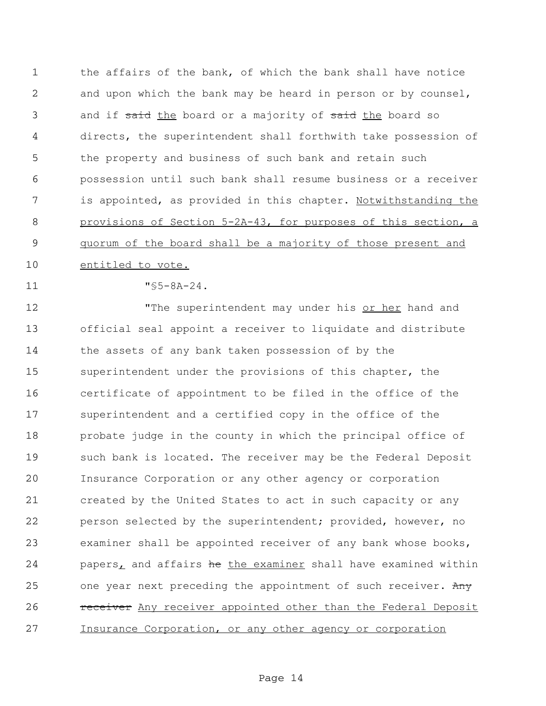the affairs of the bank, of which the bank shall have notice and upon which the bank may be heard in person or by counsel, 3 and if said the board or a majority of said the board so directs, the superintendent shall forthwith take possession of the property and business of such bank and retain such possession until such bank shall resume business or a receiver 7 is appointed, as provided in this chapter. Notwithstanding the provisions of Section 5-2A-43, for purposes of this section, a quorum of the board shall be a majority of those present and 10 entitled to vote.

"§5-8A-24.

12 The superintendent may under his or her hand and official seal appoint a receiver to liquidate and distribute the assets of any bank taken possession of by the superintendent under the provisions of this chapter, the certificate of appointment to be filed in the office of the superintendent and a certified copy in the office of the probate judge in the county in which the principal office of such bank is located. The receiver may be the Federal Deposit Insurance Corporation or any other agency or corporation created by the United States to act in such capacity or any person selected by the superintendent; provided, however, no examiner shall be appointed receiver of any bank whose books, 24 papers, and affairs he the examiner shall have examined within 25 one year next preceding the appointment of such receiver. Any **receiver** Any receiver appointed other than the Federal Deposit Insurance Corporation, or any other agency or corporation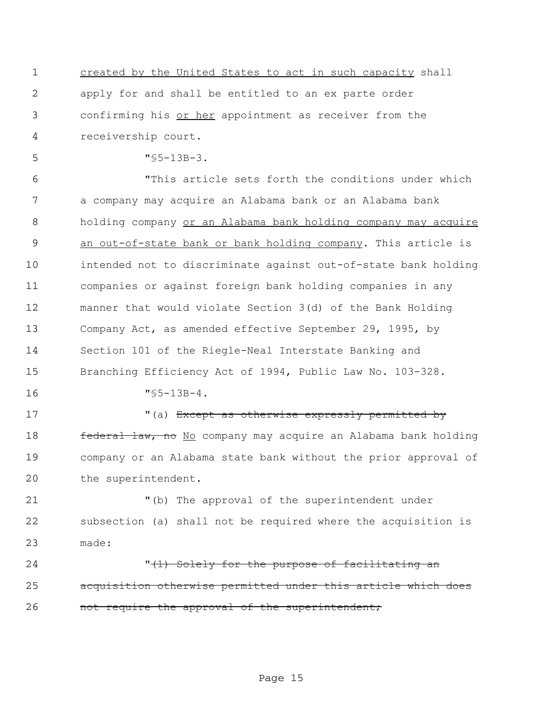created by the United States to act in such capacity shall apply for and shall be entitled to an ex parte order confirming his or her appointment as receiver from the receivership court.

"§5-13B-3.

 "This article sets forth the conditions under which a company may acquire an Alabama bank or an Alabama bank 8 holding company or an Alabama bank holding company may acquire 9 an out-of-state bank or bank holding company. This article is intended not to discriminate against out-of-state bank holding companies or against foreign bank holding companies in any manner that would violate Section 3(d) of the Bank Holding Company Act, as amended effective September 29, 1995, by Section 101 of the Riegle-Neal Interstate Banking and Branching Efficiency Act of 1994, Public Law No. 103-328.

"§5-13B-4.

17 The Music of the Music expressly permitted by **federal law, no** No company may acquire an Alabama bank holding company or an Alabama state bank without the prior approval of the superintendent.

 "(b) The approval of the superintendent under subsection (a) shall not be required where the acquisition is made:

24 T<del>(1) Solely for the purpose of facilitating an</del> acquisition otherwise permitted under this article which does 26 mot require the approval of the superintendent;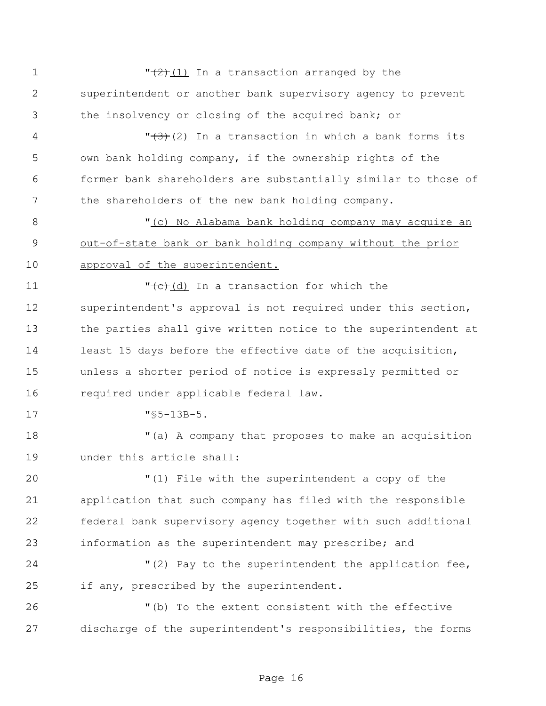$\sqrt{(2)(1)}$  In a transaction arranged by the superintendent or another bank supervisory agency to prevent the insolvency or closing of the acquired bank; or 4 T<del>(3)</del>(2) In a transaction in which a bank forms its own bank holding company, if the ownership rights of the former bank shareholders are substantially similar to those of 7 the shareholders of the new bank holding company. "(c) No Alabama bank holding company may acquire an out-of-state bank or bank holding company without the prior 10 approval of the superintendent.  $\sqrt{(c)}$  (d) In a transaction for which the superintendent's approval is not required under this section, the parties shall give written notice to the superintendent at least 15 days before the effective date of the acquisition, unless a shorter period of notice is expressly permitted or required under applicable federal law. "§5-13B-5. "(a) A company that proposes to make an acquisition under this article shall: "(1) File with the superintendent a copy of the application that such company has filed with the responsible federal bank supervisory agency together with such additional information as the superintendent may prescribe; and "(2) Pay to the superintendent the application fee, if any, prescribed by the superintendent. "(b) To the extent consistent with the effective discharge of the superintendent's responsibilities, the forms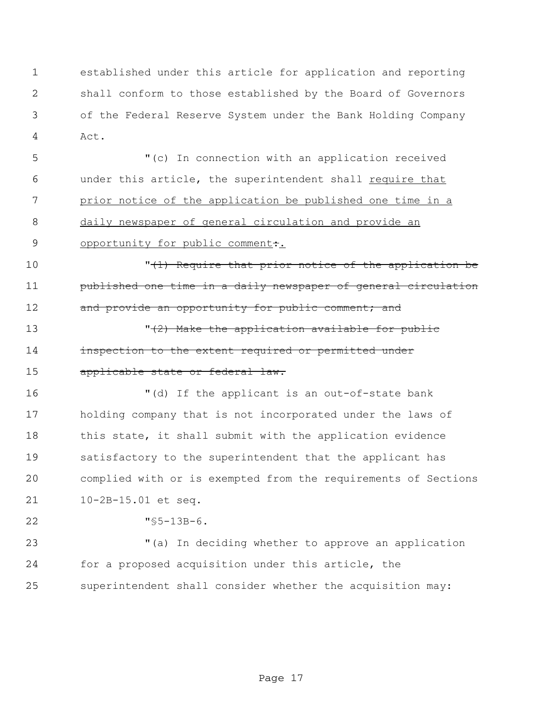established under this article for application and reporting shall conform to those established by the Board of Governors of the Federal Reserve System under the Bank Holding Company Act.

 "(c) In connection with an application received 6 under this article, the superintendent shall require that 7 prior notice of the application be published one time in a daily newspaper of general circulation and provide an 9 opportunity for public comment:

10 **10** TH<sub>1</sub> Require that prior notice of the application be **published one time in a daily newspaper of general circulation** 12 and provide an opportunity for public comment; and

13  $\sqrt{(2)}$  Make the application available for public **inspection to the extent required or permitted under** 15 applicable state or federal law.

 "(d) If the applicant is an out-of-state bank holding company that is not incorporated under the laws of 18 this state, it shall submit with the application evidence satisfactory to the superintendent that the applicant has complied with or is exempted from the requirements of Sections 10-2B-15.01 et seq.

"§5-13B-6.

 "(a) In deciding whether to approve an application for a proposed acquisition under this article, the superintendent shall consider whether the acquisition may: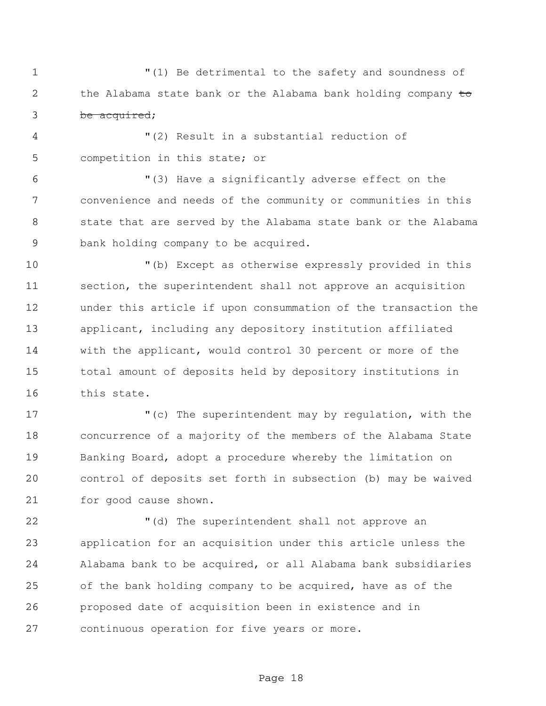"(1) Be detrimental to the safety and soundness of 2 the Alabama state bank or the Alabama bank holding company to be acquired;

 "(2) Result in a substantial reduction of competition in this state; or

 "(3) Have a significantly adverse effect on the convenience and needs of the community or communities in this state that are served by the Alabama state bank or the Alabama bank holding company to be acquired.

 "(b) Except as otherwise expressly provided in this 11 section, the superintendent shall not approve an acquisition under this article if upon consummation of the transaction the applicant, including any depository institution affiliated with the applicant, would control 30 percent or more of the total amount of deposits held by depository institutions in this state.

 "(c) The superintendent may by regulation, with the concurrence of a majority of the members of the Alabama State Banking Board, adopt a procedure whereby the limitation on control of deposits set forth in subsection (b) may be waived for good cause shown.

22 The superintendent shall not approve an application for an acquisition under this article unless the Alabama bank to be acquired, or all Alabama bank subsidiaries of the bank holding company to be acquired, have as of the proposed date of acquisition been in existence and in continuous operation for five years or more.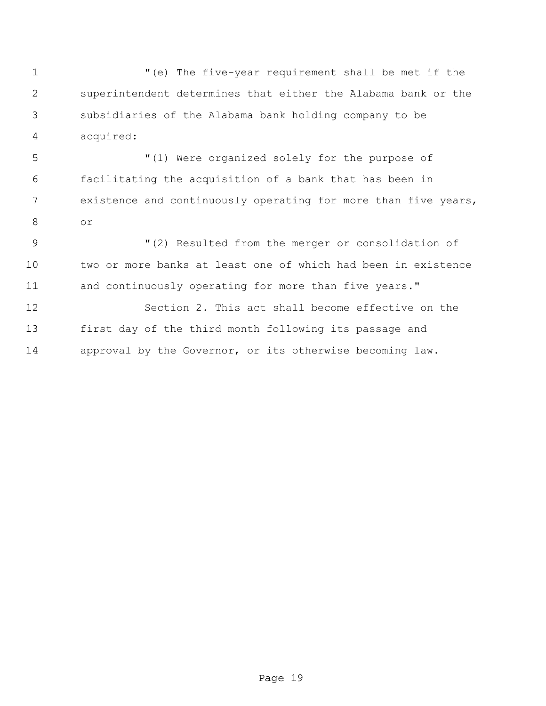"(e) The five-year requirement shall be met if the superintendent determines that either the Alabama bank or the subsidiaries of the Alabama bank holding company to be acquired:

 "(1) Were organized solely for the purpose of facilitating the acquisition of a bank that has been in existence and continuously operating for more than five years, or

9  $(2)$  Resulted from the merger or consolidation of two or more banks at least one of which had been in existence 11 and continuously operating for more than five years."

 Section 2. This act shall become effective on the first day of the third month following its passage and approval by the Governor, or its otherwise becoming law.